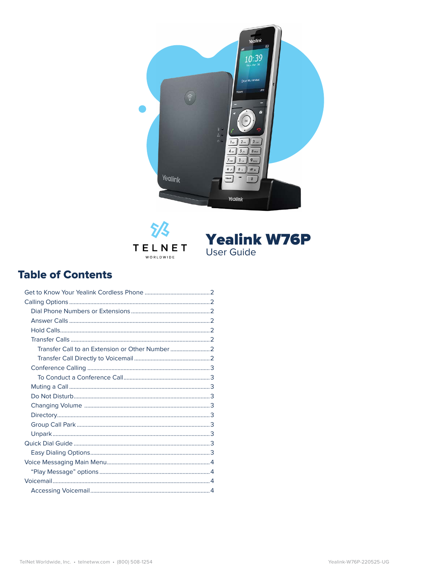





#### **Table of Contents**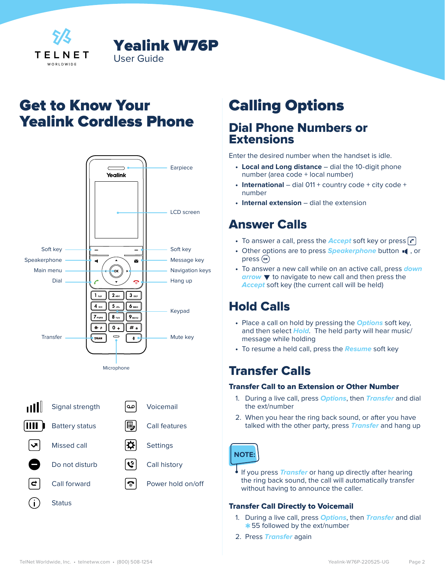<span id="page-1-0"></span>

# Get to Know Your Yealink Cordless Phone

Yealink W76P

User Guide





# Calling Options

#### Dial Phone Numbers or **Extensions**

Enter the desired number when the handset is idle.

- **• Local and Long distance** dial the 10-digit phone number (area code + local number)
- **• International** dial 011 + country code + city code + number
- **• Internal extension** dial the extension

#### Answer Calls

- To answer a call, press the **Accept** soft key or press  $\lceil \mathbf{c} \rceil$
- Other options are to press **Speakerphone** button  $\blacksquare$ , or press (ok)
- **•** To answer a new call while on an active call, press **down arrow**  $\blacktriangledown$  to navigate to new call and then press the **Accept** soft key (the current call will be held)

#### Hold Calls

- **•** Place a call on hold by pressing the **Options** soft key, and then select **Hold**. The held party will hear music/ message while holding
- **•** To resume a held call, press the **Resume** soft key

## Transfer Calls

#### Transfer Call to an Extension or Other Number

- 1. During a live call, press **Options**, then **Transfer** and dial the ext/number
- 2. When you hear the ring back sound, or after you have talked with the other party, press **Transfer** and hang up



**•** If you press **Transfer** or hang up directly after hearing the ring back sound, the call will automatically transfer without having to announce the caller.

#### Transfer Call Directly to Voicemail

- 1. During a live call, press **Options**, then **Transfer** and dial \* 55 followed by the ext/number
- 2. Press **Transfer** again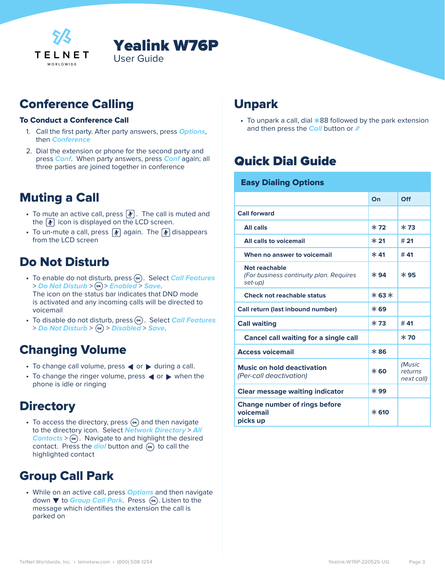<span id="page-2-0"></span>



## Conference Calling

#### To Conduct a Conference Call

- 1. Call the first party. After party answers, press **Options**, then **Conference**
- 2. Dial the extension or phone for the second party and press **Conf**. When party answers, press **Conf** again; all three parties are joined together in conference

#### Muting a Call

- To mute an active call, press  $\lfloor \frac{n}{2} \rfloor$ . The call is muted and the  $|\psi|$  icon is displayed on the LCD screen.
- To un-mute a call, press  $\boxed{\mathcal{F}}$  again. The  $\boxed{\mathcal{F}}$  disappears from the LCD screen

## Do Not Disturb

- To enable do not disturb, press  $(\infty)$ . Select **Call Features** > **Do Not Disturb** > > **Enabled** > **Save**. The icon on the status bar indicates that DND mode is activated and any incoming calls will be directed to voicemail
- To disable do not disturb, press  $(\infty)$ . Select **Call Features** > **Do Not Disturb** > > **Disabled** > **Save**.

## Changing Volume

- To change call volume, press < or > during a call.
- To change the ringer volume, press < or > when the phone is idle or ringing

#### **Directory**

• To access the directory, press  $\left( \infty \right)$  and then navigate to the directory icon. Select **Network Directory** > **All Contacts**  $>$   $(\alpha)$ . Navigate to and highlight the desired contact. Press the **dial** button and  $(\alpha)$  to call the highlighted contact

## Group Call Park

**•** While on an active call, press **Options** and then navigate down ▼ to *Group Call Park*. Press (ox). Listen to the message which identifies the extension the call is parked on

#### Unpark

**•** To unpark a call, dial \* and then press the **Call** button or **#** $\cdot$  To unpark a call, dial  $*88$  followed by the park extension

## Quick Dial Guide

| <b>Easy Dialing Options</b>                                         |         |                                 |  |  |
|---------------------------------------------------------------------|---------|---------------------------------|--|--|
|                                                                     | On      | Off                             |  |  |
| <b>Call forward</b>                                                 |         |                                 |  |  |
| <b>All calls</b>                                                    | $*72$   | $*73$                           |  |  |
| All calls to voicemail                                              | $*21$   | # 21                            |  |  |
| When no answer to voicemail                                         | $* 41$  | # 41                            |  |  |
| Not reachable<br>(For business continuity plan. Requires<br>set-up) | $*94$   | $*95$                           |  |  |
| <b>Check not reachable status</b>                                   | $*63*$  |                                 |  |  |
| Call return (last inbound number)                                   | $*$ 69  |                                 |  |  |
| <b>Call waiting</b>                                                 | $*73$   | # 41                            |  |  |
| <b>Cancel call waiting for a single call</b>                        |         | $*70$                           |  |  |
| <b>Access voicemail</b>                                             | $*86$   |                                 |  |  |
| <b>Music on hold deactivation</b><br>(Per-call deactivation)        | $*$ 60  | (Music<br>returns<br>next call) |  |  |
| <b>Clear message waiting indicator</b>                              | $*99$   |                                 |  |  |
| <b>Change number of rings before</b><br>voicemail<br>picks up       | $* 610$ |                                 |  |  |